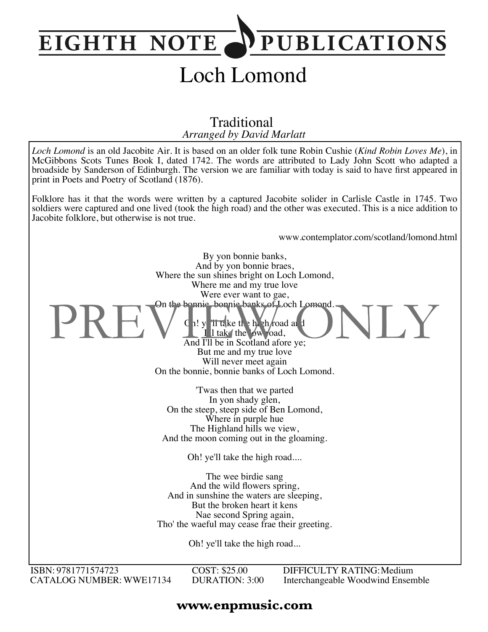#### **PUBLICATIONS EIGHTH NOTE**

# Loch Lomond

### *Arranged by David Marlatt* Traditional

*Loch Lomond* is an old Jacobite Air. It is based on an older folk tune Robin Cushie (*Kind Robin Loves Me*), in McGibbons Scots Tunes Book I, dated 1742. The words are attributed to Lady John Scott who adapted a broadside by Sanderson of Edinburgh. The version we are familiar with today is said to have first appeared in print in Poets and Poetry of Scotland (1876).

Folklore has it that the words were written by a captured Jacobite solider in Carlisle Castle in 1745. Two soldiers were captured and one lived (took the high road) and the other was executed. This is a nice addition to Jacobite folklore, but otherwise is not true.

www.contemplator.com/scotland/lomond.html

ISBN: 9781771574723 COST: \$25.00 By yon bonnie banks, And by yon bonnie braes, Where the sun shines bright on Loch Lomond, Where me and my true love Were ever want to gae, On the bonnie, bonnie banks of Loch Lomond.  $\overline{O}$  1! yet if take the high road and I l take the low road, And I'll be in Scotland afore ye; But me and my true love Will never meet again On the bonnie, bonnie banks of Loch Lomond. 'Twas then that we parted In yon shady glen, On the steep, steep side of Ben Lomond, Where in purple hue The Highland hills we view, And the moon coming out in the gloaming. Oh! ye'll take the high road.... The wee birdie sang And the wild flowers spring, And in sunshine the waters are sleeping, But the broken heart it kens Nae second Spring again, Tho' the waeful may cease frae their greeting. Oh! ye'll take the high road... On the bonnie bonnie banks of Loch Lomond.<br>Ca! y II Lake the banks of Loch Lomond.<br>And I'll be in Scotland afore ye;

CATALOG NUMBER: WWE17134

DURATION: 3:00

DIFFICULTY RATING:Medium Interchangeable Woodwind Ensemble

# **www.enpmusic.com**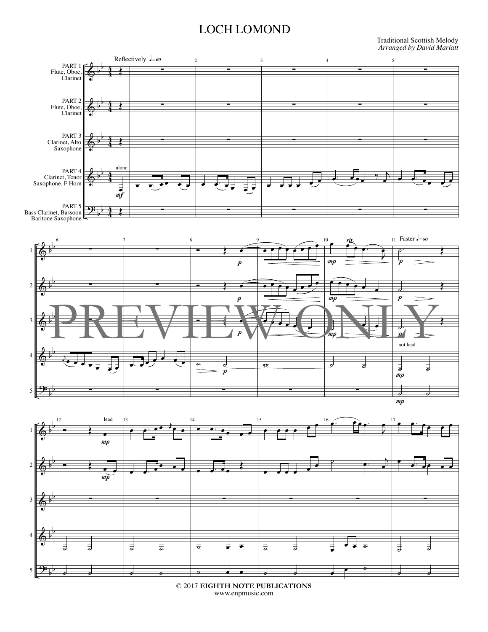## LOCH LOMOND

Traditional Scottish Melody *Arranged by David Marlatt*



© 2017 **EIGHTH NOTE PUBLICATIONS** www.enpmusic.com

。<br>。 *。* 

 $\cdot$   $\cdot$   $\cdot$ 

。<br>。 *。* 

˙ œ œ

9:

5

b b

。<br>。 *。* 

。<br>。 *。*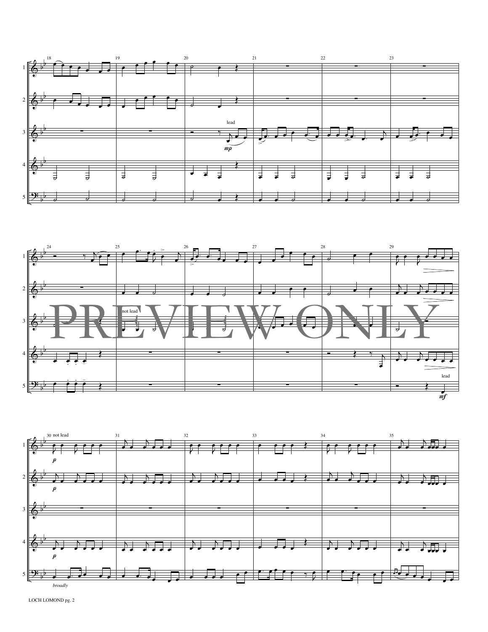





LOCH LOMOND pg. 2